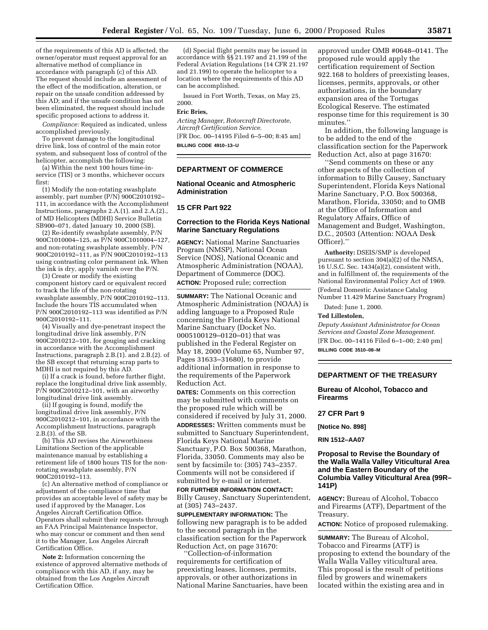of the requirements of this AD is affected, the owner/operator must request approval for an alternative method of compliance in accordance with paragraph (c) of this AD. The request should include an assessment of the effect of the modification, alteration, or repair on the unsafe condition addressed by this AD; and if the unsafe condition has not been eliminated, the request should include specific proposed actions to address it.

*Compliance:* Required as indicated, unless accomplished previously.

To prevent damage to the longitudinal drive link, loss of control of the main rotor system, and subsequent loss of control of the helicopter, accomplish the following:

(a) Within the next 100 hours time-inservice (TIS) or 3 months, whichever occurs first:

(1) Modify the non-rotating swashplate assembly, part number (P/N) 900C2010192– 111, in accordance with the Accomplishment Instructions, paragraphs 2.A.(1). and 2.A.(2)., of MD Helicopters (MDHI) Service Bulletin SB900–071, dated January 10, 2000 (SB).

(2) Re-identify swashplate assembly, P/N 900C1010004–125, as P/N 900C1010004–127, and non-rotating swashplate assembly, P/N 900C2010192–111, as P/N 900C2010192–113 using contrasting color permanent ink. When the ink is dry, apply varnish over the P/N.

(3) Create or modify the existing component history card or equivalent record to track the life of the non-rotating swashplate assembly, P/N 900C2010192–113. Include the hours TIS accumulated when P/N 900C2010192–113 was identified as P/N 900C2010192–111.

(4) Visually and dye-penetrant inspect the longitudinal drive link assembly, P/N 900C2010212–101, for gouging and cracking in accordance with the Accomplishment Instructions, paragraph 2.B.(1). and 2.B.(2). of the SB except that returning scrap parts to MDHI is not required by this AD.

(i) If a crack is found, before further flight, replace the longitudinal drive link assembly, P/N 900C2010212–101, with an airworthy longitudinal drive link assembly.

(ii) If gouging is found, modify the longitudinal drive link assembly, P/N 900C2010212–101, in accordance with the Accomplishment Instructions, paragraph 2.B.(3). of the SB.

(b) This AD revises the Airworthiness Limitations Section of the applicable maintenance manual by establishing a retirement life of 1800 hours TIS for the nonrotating swashplate assembly, P/N 900C2010192–113.

(c) An alternative method of compliance or adjustment of the compliance time that provides an acceptable level of safety may be used if approved by the Manager, Los Angeles Aircraft Certification Office. Operators shall submit their requests through an FAA Principal Maintenance Inspector, who may concur or comment and then send it to the Manager, Los Angeles Aircraft Certification Office.

**Note 2:** Information concerning the existence of approved alternative methods of compliance with this AD, if any, may be obtained from the Los Angeles Aircraft Certification Office.

(d) Special flight permits may be issued in accordance with §§ 21.197 and 21.199 of the Federal Aviation Regulations (14 CFR 21.197 and 21.199) to operate the helicopter to a location where the requirements of this AD can be accomplished.

Issued in Fort Worth, Texas, on May 25, 2000.

### **Eric Bries,**

*Acting Manager, Rotorcraft Directorate, Aircraft Certification Service.* [FR Doc. 00–14195 Filed 6–5–00; 8:45 am] **BILLING CODE 4910–13–U**

**DEPARTMENT OF COMMERCE**

## **National Oceanic and Atmospheric Administration**

### **15 CFR Part 922**

## **Correction to the Florida Keys National Marine Sanctuary Regulations**

**AGENCY:** National Marine Sanctuaries Program (NMSP), National Ocean Service (NOS), National Oceanic and Atmospheric Administration (NOAA), Department of Commerce (DOC). **ACTION:** Proposed rule; correction

**SUMMARY:** The National Oceanic and Atmospheric Administration (NOAA) is adding language to a Proposed Rule concerning the Florida Keys National Marine Sanctuary (Docket No. 0005100129–0120–01) that was published in the Federal Register on May 18, 2000 (Volume 65, Number 97, Pages 31633–31680), to provide additional information in response to the requirements of the Paperwork Reduction Act.

**DATES:** Comments on this correction may be submitted with comments on the proposed rule which will be considered if received by July 31, 2000. **ADDRESSES:** Written comments must be submitted to Sanctuary Superintendent, Florida Keys National Marine Sanctuary, P.O. Box 500368, Marathon, Florida, 33050. Comments may also be sent by facsimile to: (305) 743–2357. Comments will not be considered if submitted by e-mail or internet.

**FOR FURTHER INFORMATION CONTACT:** Billy Causey, Sanctuary Superintendent, at (305) 743–2437.

**SUPPLEMENTARY INFORMATION:** The following new paragraph is to be added to the second paragraph in the classification section for the Paperwork Reduction Act, on page 31670:

'Collection-of-information requirements for certification of preexisting leases, licenses, permits, approvals, or other authorizations in National Marine Sanctuaries, have been approved under OMB #0648–0141. The proposed rule would apply the certification requirement of Section 922.168 to holders of preexisting leases, licenses, permits, approvals, or other authorizations, in the boundary expansion area of the Tortugas Ecological Reserve. The estimated response time for this requirement is 30 minutes.''

In addition, the following language is to be added to the end of the classification section for the Paperwork Reduction Act, also at page 31670:

''Send comments on these or any other aspects of the collection of information to Billy Causey, Sanctuary Superintendent, Florida Keys National Marine Sanctuary, P.O. Box 500368, Marathon, Florida, 33050; and to OMB at the Office of Information and Regulatory Affairs, Office of Management and Budget, Washington, D.C., 20503 (Attention: NOAA Desk Officer).''

**Authority:** DSEIS/SMP is developed pursuant to section 304(a)(2) of the NMSA, 16 U.S.C. Sec. 1434(a)(2), consistent with, and in fulfillment of, the requirements of the National Environmental Policy Act of 1969. (Federal Domestic Assistance Catalog Number 11.429 Marine Sanctuary Program)

Dated: June 1, 2000.

#### **Ted Lillestolen,**

*Deputy Assistant Administrator for Ocean Services and Coastal Zone Management.* [FR Doc. 00–14116 Filed 6–1–00; 2:40 pm] **BILLING CODE 3510–08–M**

### **DEPARTMENT OF THE TREASURY**

**Bureau of Alcohol, Tobacco and Firearms**

### **27 CFR Part 9**

**[Notice No. 898]**

**RIN 1512–AA07**

# **Proposal to Revise the Boundary of the Walla Walla Valley Viticultural Area and the Eastern Boundary of the Columbia Valley Viticultural Area (99R– 141P)**

**AGENCY:** Bureau of Alcohol, Tobacco and Firearms (ATF), Department of the Treasury.

**ACTION:** Notice of proposed rulemaking.

**SUMMARY:** The Bureau of Alcohol, Tobacco and Firearms (ATF) is proposing to extend the boundary of the Walla Walla Valley viticultural area. This proposal is the result of petitions filed by growers and winemakers located within the existing area and in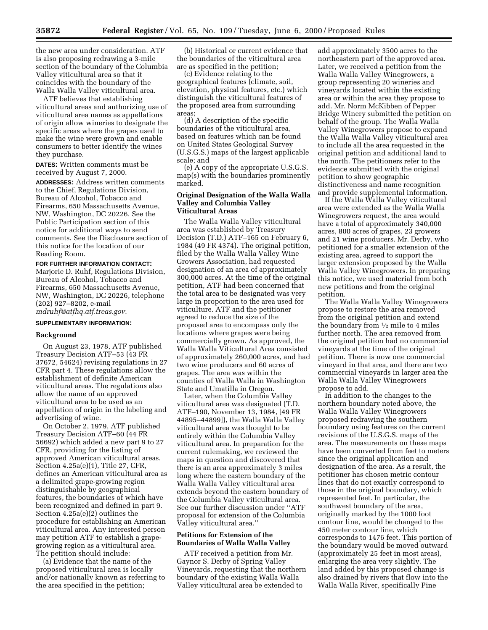the new area under consideration. ATF is also proposing redrawing a 3-mile section of the boundary of the Columbia Valley viticultural area so that it coincides with the boundary of the Walla Walla Valley viticultural area.

ATF believes that establishing viticultural areas and authorizing use of viticultural area names as appellations of origin allow wineries to designate the specific areas where the grapes used to make the wine were grown and enable consumers to better identify the wines they purchase.

**DATES:** Written comments must be received by August 7, 2000.

**ADDRESSES:** Address written comments to the Chief, Regulations Division, Bureau of Alcohol, Tobacco and Firearms, 650 Massachusetts Avenue, NW, Washington, DC 20226. See the Public Participation section of this notice for additional ways to send comments. See the Disclosure section of this notice for the location of our Reading Room.

# **FOR FURTHER INFORMATION CONTACT:** Marjorie D. Ruhf, Regulations Division, Bureau of Alcohol, Tobacco and Firearms, 650 Massachusetts Avenue, NW, Washington, DC 20226, telephone (202) 927–8202, e-mail *mdruhf@atfhq.atf.treas.gov.*

### **SUPPLEMENTARY INFORMATION:**

#### **Background**

On August 23, 1978, ATF published Treasury Decision ATF–53 (43 FR 37672, 54624) revising regulations in 27 CFR part 4. These regulations allow the establishment of definite American viticultural areas. The regulations also allow the name of an approved viticultural area to be used as an appellation of origin in the labeling and advertising of wine.

On October 2, 1979, ATF published Treasury Decision ATF–60 (44 FR 56692) which added a new part 9 to 27 CFR, providing for the listing of approved American viticultural areas. Section 4.25a(e)(1), Title 27, CFR, defines an American viticultural area as a delimited grape-growing region distinguishable by geographical features, the boundaries of which have been recognized and defined in part 9. Section 4.25a(e)(2) outlines the procedure for establishing an American viticultural area. Any interested person may petition ATF to establish a grapegrowing region as a viticultural area. The petition should include:

(a) Evidence that the name of the proposed viticultural area is locally and/or nationally known as referring to the area specified in the petition;

(b) Historical or current evidence that the boundaries of the viticultural area are as specified in the petition;

(c) Evidence relating to the geographical features (climate, soil, elevation, physical features, etc.) which distinguish the viticultural features of the proposed area from surrounding areas;

(d) A description of the specific boundaries of the viticultural area, based on features which can be found on United States Geological Survey (U.S.G.S.) maps of the largest applicable scale; and

(e) A copy of the appropriate U.S.G.S. map(s) with the boundaries prominently marked.

## **Original Designation of the Walla Walla Valley and Columbia Valley Viticultural Areas**

The Walla Walla Valley viticultural area was established by Treasury Decision (T.D.) ATF–165 on February 6, 1984 (49 FR 4374). The original petition, filed by the Walla Walla Valley Wine Growers Association, had requested designation of an area of approximately 300,000 acres. At the time of the original petition, ATF had been concerned that the total area to be designated was very large in proportion to the area used for viticulture. ATF and the petitioner agreed to reduce the size of the proposed area to encompass only the locations where grapes were being commercially grown. As approved, the Walla Walla Viticultural Area consisted of approximately 260,000 acres, and had two wine producers and 60 acres of grapes. The area was within the counties of Walla Walla in Washington State and Umatilla in Oregon.

Later, when the Columbia Valley viticultural area was designated (T.D. ATF–190, November 13, 1984, [49 FR 44895–44899]), the Walla Walla Valley viticultural area was thought to be entirely within the Columbia Valley viticultural area. In preparation for the current rulemaking, we reviewed the maps in question and discovered that there is an area approximately 3 miles long where the eastern boundary of the Walla Walla Valley viticultural area extends beyond the eastern boundary of the Columbia Valley viticultural area. See our further discussion under ''ATF proposal for extension of the Columbia Valley viticultural area.''

## **Petitions for Extension of the Boundaries of Walla Walla Valley**

ATF received a petition from Mr. Gaynor S. Derby of Spring Valley Vineyards, requesting that the northern boundary of the existing Walla Walla Valley viticultural area be extended to

add approximately 3500 acres to the northeastern part of the approved area. Later, we received a petition from the Walla Walla Valley Winegrowers, a group representing 20 wineries and vineyards located within the existing area or within the area they propose to add. Mr. Norm McKibben of Pepper Bridge Winery submitted the petition on behalf of the group. The Walla Walla Valley Winegrowers propose to expand the Walla Walla Valley viticultural area to include all the area requested in the original petition and additional land to the north. The petitioners refer to the evidence submitted with the original petition to show geographic distinctiveness and name recognition and provide supplemental information.

If the Walla Walla Valley viticultural area were extended as the Walla Walla Winegrowers request, the area would have a total of approximately 340,000 acres, 800 acres of grapes, 23 growers and 21 wine producers. Mr. Derby, who petitioned for a smaller extension of the existing area, agreed to support the larger extension proposed by the Walla Walla Valley Winegrowers. In preparing this notice, we used material from both new petitions and from the original petition.

The Walla Walla Valley Winegrowers propose to restore the area removed from the original petition and extend the boundary from  $\frac{1}{2}$  mile to 4 miles further north. The area removed from the original petition had no commercial vineyards at the time of the original petition. There is now one commercial vineyard in that area, and there are two commercial vineyards in larger area the Walla Walla Valley Winegrowers propose to add.

In addition to the changes to the northern boundary noted above, the Walla Walla Valley Winegrowers proposed redrawing the southern boundary using features on the current revisions of the U.S.G.S. maps of the area. The measurements on these maps have been converted from feet to meters since the original application and designation of the area. As a result, the petitioner has chosen metric contour lines that do not exactly correspond to those in the original boundary, which represented feet. In particular, the southwest boundary of the area, originally marked by the 1000 foot contour line, would be changed to the 450 meter contour line, which corresponds to 1476 feet. This portion of the boundary would be moved outward (approximately 25 feet in most areas), enlarging the area very slightly. The land added by this proposed change is also drained by rivers that flow into the Walla Walla River, specifically Pine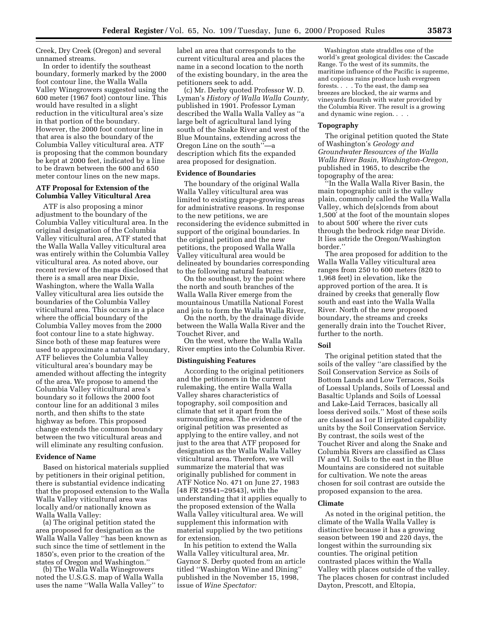Creek, Dry Creek (Oregon) and several unnamed streams.

In order to identify the southeast boundary, formerly marked by the 2000 foot contour line, the Walla Walla Valley Winegrowers suggested using the 600 meter (1967 foot) contour line. This would have resulted in a slight reduction in the viticultural area's size in that portion of the boundary. However, the 2000 foot contour line in that area is also the boundary of the Columbia Valley viticultural area. ATF is proposing that the common boundary be kept at 2000 feet, indicated by a line to be drawn between the 600 and 650 meter contour lines on the new maps.

## **ATF Proposal for Extension of the Columbia Valley Viticultural Area**

ATF is also proposing a minor adjustment to the boundary of the Columbia Valley viticultural area. In the original designation of the Columbia Valley viticultural area, ATF stated that the Walla Walla Valley viticultural area was entirely within the Columbia Valley viticultural area. As noted above, our recent review of the maps disclosed that there is a small area near Dixie, Washington, where the Walla Walla Valley viticultural area lies outside the boundaries of the Columbia Valley viticultural area. This occurs in a place where the official boundary of the Columbia Valley moves from the 2000 foot contour line to a state highway. Since both of these map features were used to approximate a natural boundary, ATF believes the Columbia Valley viticultural area's boundary may be amended without affecting the integrity of the area. We propose to amend the Columbia Valley viticultural area's boundary so it follows the 2000 foot contour line for an additional 3 miles north, and then shifts to the state highway as before. This proposed change extends the common boundary between the two viticultural areas and will eliminate any resulting confusion.

#### **Evidence of Name**

Based on historical materials supplied by petitioners in their original petition, there is substantial evidence indicating that the proposed extension to the Walla Walla Valley viticultural area was locally and/or nationally known as Walla Walla Valley:

(a) The original petition stated the area proposed for designation as the Walla Walla Valley ''has been known as such since the time of settlement in the 1850's, even prior to the creation of the states of Oregon and Washington.''

(b) The Walla Walla Winegrowers noted the U.S.G.S. map of Walla Walla uses the name ''Walla Walla Valley'' to

label an area that corresponds to the current viticultural area and places the name in a second location to the north of the existing boundary, in the area the petitioners seek to add.

(c) Mr. Derby quoted Professor W. D. Lyman's *History of Walla Walla County,* published in 1901. Professor Lyman described the Walla Walla Valley as ''a large belt of agricultural land lying south of the Snake River and west of the Blue Mountains, extending across the Oregon Line on the south''—a description which fits the expanded area proposed for designation.

## **Evidence of Boundaries**

The boundary of the original Walla Walla Valley viticultural area was limited to existing grape-growing areas for administrative reasons. In response to the new petitions, we are reconsidering the evidence submitted in support of the original boundaries. In the original petition and the new petitions, the proposed Walla Walla Valley viticultural area would be delineated by boundaries corresponding to the following natural features:

On the southeast, by the point where the north and south branches of the Walla Walla River emerge from the mountainous Umatilla National Forest and join to form the Walla Walla River,

On the north, by the drainage divide between the Walla Walla River and the Touchet River, and

On the west, where the Walla Walla River empties into the Columbia River.

#### **Distinguishing Features**

According to the original petitioners and the petitioners in the current rulemaking, the entire Walla Walla Valley shares characteristics of topography, soil composition and climate that set it apart from the surrounding area. The evidence of the original petition was presented as applying to the entire valley, and not just to the area that ATF proposed for designation as the Walla Walla Valley viticultural area. Therefore, we will summarize the material that was originally published for comment in ATF Notice No. 471 on June 27, 1983 [48 FR 29541–29543], with the understanding that it applies equally to the proposed extension of the Walla Walla Valley viticultural area. We will supplement this information with material supplied by the two petitions for extension.

In his petition to extend the Walla Walla Valley viticultural area, Mr. Gaynor S. Derby quoted from an article titled ''Washington Wine and Dining'' published in the November 15, 1998, issue of *Wine Spectator:*

Washington state straddles one of the world's great geological divides: the Cascade Range. To the west of its summits, the maritime influence of the Pacific is supreme, and copious rains produce lush evergreen forests. . . . To the east, the damp sea breezes are blocked, the air warms and vineyards flourish with water provided by the Columbia River. The result is a growing and dynamic wine region. . . .

## **Topography**

The original petition quoted the State of Washington's *Geology and Groundwater Resources of the Walla Walla River Basin, Washington-Oregon,* published in 1965, to describe the topography of the area:

''In the Walla Walla River Basin, the main topographic unit is the valley plain, commonly called the Walla Walla Valley, which de[s]cends from about 1,500′ at the foot of the mountain slopes to about 500′ where the river cuts through the bedrock ridge near Divide. It lies astride the Oregon/Washington border.''

The area proposed for addition to the Walla Walla Valley viticultural area ranges from 250 to 600 meters (820 to 1,968 feet) in elevation, like the approved portion of the area. It is drained by creeks that generally flow south and east into the Walla Walla River. North of the new proposed boundary, the streams and creeks generally drain into the Touchet River, further to the north.

## **Soil**

The original petition stated that the soils of the valley ''are classified by the Soil Conservation Service as Soils of Bottom Lands and Low Terraces, Soils of Loessal Uplands, Soils of Loessal and Basaltic Uplands and Soils of Loessal and Lake-Laid Terraces, basically all loess derived soils.'' Most of these soils are classed as I or II irrigated capability units by the Soil Conservation Service. By contrast, the soils west of the Touchet River and along the Snake and Columbia Rivers are classified as Class IV and VI. Soils to the east in the Blue Mountains are considered not suitable for cultivation. We note the areas chosen for soil contrast are outside the proposed expansion to the area.

## **Climate**

As noted in the original petition, the climate of the Walla Walla Valley is distinctive because it has a growing season between 190 and 220 days, the longest within the surrounding six counties. The original petition contrasted places within the Walla Valley with places outside of the valley. The places chosen for contrast included Dayton, Prescott, and Eltopia,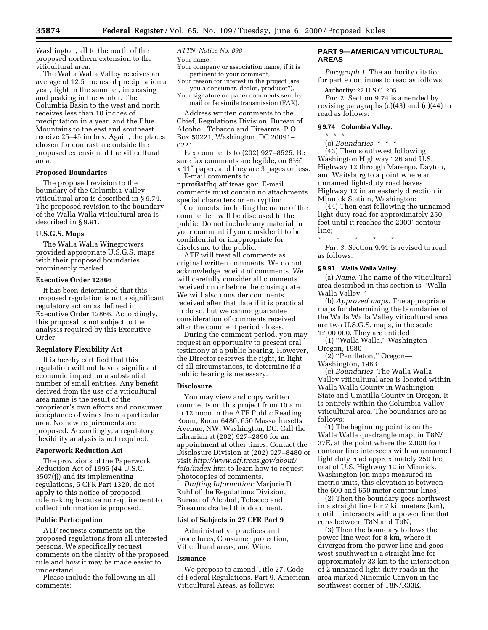Washington, all to the north of the proposed northern extension to the viticultural area.

The Walla Walla Valley receives an average of 12.5 inches of precipitation a year, light in the summer, increasing and peaking in the winter. The Columbia Basin to the west and north receives less than 10 inches of precipitation in a year, and the Blue Mountains to the east and southeast receive 25–45 inches. Again, the places chosen for contrast are outside the proposed extension of the viticultural area.

## **Proposed Boundaries**

The proposed revision to the boundary of the Columbia Valley viticultural area is described in § 9.74. The proposed revision to the boundary of the Walla Walla viticultural area is described in § 9.91.

#### **U.S.G.S. Maps**

The Walla Walla Winegrowers provided appropriate U.S.G.S. maps with their proposed boundaries prominently marked.

## **Executive Order 12866**

It has been determined that this proposed regulation is not a significant regulatory action as defined in Executive Order 12866. Accordingly, this proposal is not subject to the analysis required by this Executive Order.

## **Regulatory Flexibility Act**

It is hereby certified that this regulation will not have a significant economic impact on a substantial number of small entities. Any benefit derived from the use of a viticultural area name is the result of the proprietor's own efforts and consumer acceptance of wines from a particular area. No new requirements are proposed. Accordingly, a regulatory flexibility analysis is not required.

#### **Paperwork Reduction Act**

The provisions of the Paperwork Reduction Act of 1995 (44 U.S.C. 3507(j)) and its implementing regulations, 5 CFR Part 1320, do not apply to this notice of proposed rulemaking because no requirement to collect information is proposed.

# **Public Participation**

ATF requests comments on the proposed regulations from all interested persons. We specifically request comments on the clarity of the proposed rule and how it may be made easier to understand.

Please include the following in all comments:

*ATTN: Notice No. 898*

Your name,

Your company or association name, if it is pertinent to your comment,

Your reason for interest in the project (are you a consumer, dealer, producer?),

Your signature on paper comments sent by mail or facsimile transmission (FAX).

Address written comments to the Chief, Regulations Division, Bureau of Alcohol, Tobacco and Firearms, P.O. Box 50221, Washington, DC 20091– 0221.

Fax comments to (202) 927–8525. Be sure fax comments are legible, on 81⁄2″ x 11″ paper, and they are 3 pages or less.

E-mail comments to nprm@atfhq.atf.treas.gov. E-mail comments must contain no attachments, special characters or encryption.

Comments, including the name of the commenter, will be disclosed to the public. Do not include any material in your comment if you consider it to be confidential or inappropriate for disclosure to the public.

ATF will treat all comments as original written comments. We do not acknowledge receipt of comments. We will carefully consider all comments received on or before the closing date. We will also consider comments received after that date if it is practical to do so, but we cannot guarantee consideration of comments received after the comment period closes.

During the comment period, you may request an opportunity to present oral testimony at a public hearing. However, the Director reserves the right, in light of all circumstances, to determine if a public hearing is necessary.

### **Disclosure**

You may view and copy written comments on this project from 10 a.m. to 12 noon in the ATF Public Reading Room, Room 6480, 650 Massachusetts Avenue, NW, Washington, DC. Call the Librarian at (202) 927–2890 for an appointment at other times. Contact the Disclosure Division at (202) 927–8480 or visit *http://www.atf.treas.gov/about/ foia/index.htm* to learn how to request photocopies of comments.

*Drafting Information:* Marjorie D. Ruhf of the Regulations Division, Bureau of Alcohol, Tobacco and Firearms drafted this document.

# **List of Subjects in 27 CFR Part 9**

Administrative practices and procedures, Consumer protection, Viticultural areas, and Wine.

# **Issuance**

We propose to amend Title 27, Code of Federal Regulations, Part 9, American Viticultural Areas, as follows:

# **PART 9—AMERICAN VITICULTURAL AREAS**

*Paragraph 1.* The authority citation for part 9 continues to read as follows:

**Authority:** 27 U.S.C. 205. *Par.* 2. Section 9.74 is amended by revising paragraphs (c)(43) and (c)(44) to read as follows:

### **§ 9.74 Columbia Valley.**

\*\*\*

(c) *Boundaries.* \*\*\*

(43) Then southwest following Washington Highway 126 and U.S. Highway 12 through Marengo, Dayton, and Waitsburg to a point where an unnamed light-duty road leaves Highway 12 in an easterly direction in Minnick Station, Washington;

(44) Then east following the unnamed light-duty road for approximately 250 feet until it reaches the 2000' contour line;

\* \* \* \* \* *Par. 3.* Section 9.91 is revised to read as follows:

### **§ 9.91 Walla Walla Valley.**

(a) *Name.* The name of the viticultural area described in this section is ''Walla Walla Valley.''

(b) *Approved maps.* The appropriate maps for determining the boundaries of the Walla Walla Valley viticultural area are two U.S.G.S. maps, in the scale 1:100,000. They are entitled:

(1) ''Walla Walla,'' Washington— Oregon, 1980

(2) ''Pendleton,'' Oregon—

Washington, 1983

(c) *Boundaries.* The Walla Walla Valley viticultural area is located within Walla Walla County in Washington State and Umatilla County in Oregon. It is entirely within the Columbia Valley viticultural area. The boundaries are as follows:

(1) The beginning point is on the Walla Walla quadrangle map, in T8N/ 37E, at the point where the 2,000 foot contour line intersects with an unnamed light duty road approximately 250 feet east of U.S. Highway 12 in Minnick, Washington (on maps measured in metric units, this elevation is between the 600 and 650 meter contour lines),

(2) Then the boundary goes northwest in a straight line for 7 kilometers (km), until it intersects with a power line that runs between T8N and T9N,

(3) Then the boundary follows the power line west for 8 km, where it diverges from the power line and goes west-southwest in a straight line for approximately 33 km to the intersection of 2 unnamed light duty roads in the area marked Ninemile Canyon in the southwest corner of T8N/R33E,